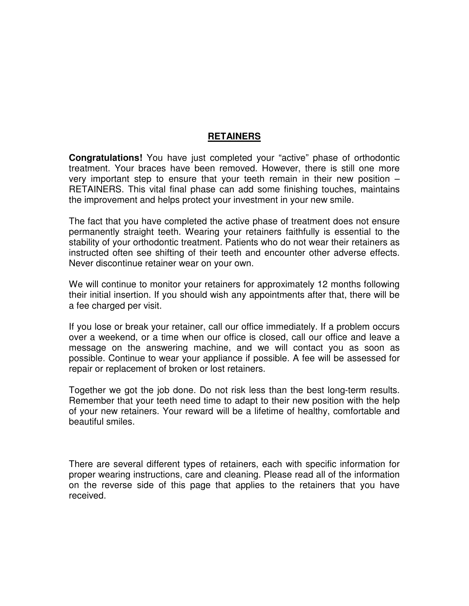## **RETAINERS**

**Congratulations!** You have just completed your "active" phase of orthodontic treatment. Your braces have been removed. However, there is still one more very important step to ensure that your teeth remain in their new position – RETAINERS. This vital final phase can add some finishing touches, maintains the improvement and helps protect your investment in your new smile.

The fact that you have completed the active phase of treatment does not ensure permanently straight teeth. Wearing your retainers faithfully is essential to the stability of your orthodontic treatment. Patients who do not wear their retainers as instructed often see shifting of their teeth and encounter other adverse effects. Never discontinue retainer wear on your own.

We will continue to monitor your retainers for approximately 12 months following their initial insertion. If you should wish any appointments after that, there will be a fee charged per visit.

If you lose or break your retainer, call our office immediately. If a problem occurs over a weekend, or a time when our office is closed, call our office and leave a message on the answering machine, and we will contact you as soon as possible. Continue to wear your appliance if possible. A fee will be assessed for repair or replacement of broken or lost retainers.

Together we got the job done. Do not risk less than the best long-term results. Remember that your teeth need time to adapt to their new position with the help of your new retainers. Your reward will be a lifetime of healthy, comfortable and beautiful smiles.

There are several different types of retainers, each with specific information for proper wearing instructions, care and cleaning. Please read all of the information on the reverse side of this page that applies to the retainers that you have received.